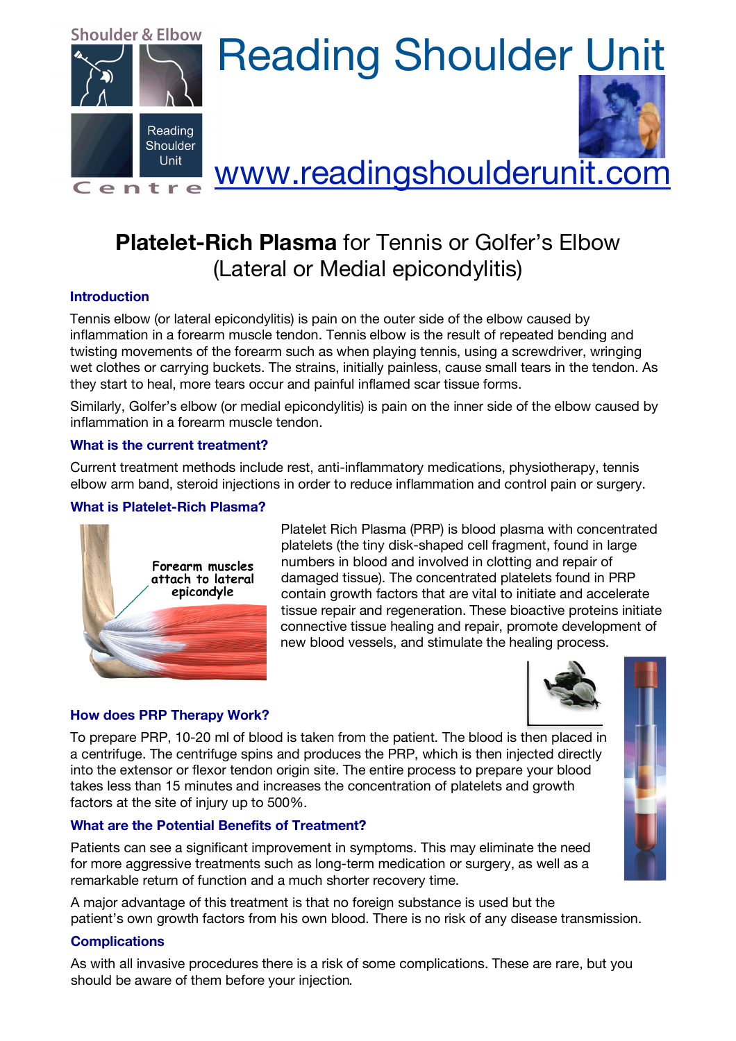

# Shoulder & Elbow Reading Shoulder Unit



## Centre WWW.readingshoulderunit.com

### **Platelet-Rich Plasma** for Tennis or Golfer's Elbow (Lateral or Medial epicondylitis)

#### **Introduction**

Tennis elbow (or lateral epicondylitis) is pain on the outer side of the elbow caused by inflammation in a forearm muscle tendon. Tennis elbow is the result of repeated bending and twisting movements of the forearm such as when playing tennis, using a screwdriver, wringing wet clothes or carrying buckets. The strains, initially painless, cause small tears in the tendon. As they start to heal, more tears occur and painful inflamed scar tissue forms.

Similarly, Golfer's elbow (or medial epicondylitis) is pain on the inner side of the elbow caused by inflammation in a forearm muscle tendon.

#### **What is the current treatment?**

Current treatment methods include rest, anti-inflammatory medications, physiotherapy, tennis elbow arm band, steroid injections in order to reduce inflammation and control pain or surgery.

#### **What is Platelet-Rich Plasma?**



Platelet Rich Plasma (PRP) is blood plasma with concentrated platelets (the tiny disk-shaped cell fragment, found in large numbers in blood and involved in clotting and repair of damaged tissue). The concentrated platelets found in PRP contain growth factors that are vital to initiate and accelerate tissue repair and regeneration. These bioactive proteins initiate connective tissue healing and repair, promote development of new blood vessels, and stimulate the healing process.

#### **How does PRP Therapy Work?**

To prepare PRP, 10-20 ml of blood is taken from the patient. The blood is then placed in a centrifuge. The centrifuge spins and produces the PRP, which is then injected directly into the extensor or flexor tendon origin site. The entire process to prepare your blood takes less than 15 minutes and increases the concentration of platelets and growth factors at the site of injury up to 500%.

#### **What are the Potential Benefits of Treatment?**

Patients can see a significant improvement in symptoms. This may eliminate the need for more aggressive treatments such as long-term medication or surgery, as well as a remarkable return of function and a much shorter recovery time.

A major advantage of this treatment is that no foreign substance is used but the patient's own growth factors from his own blood. There is no risk of any disease transmission.

#### **Complications**

As with all invasive procedures there is a risk of some complications. These are rare, but you should be aware of them before your injection.